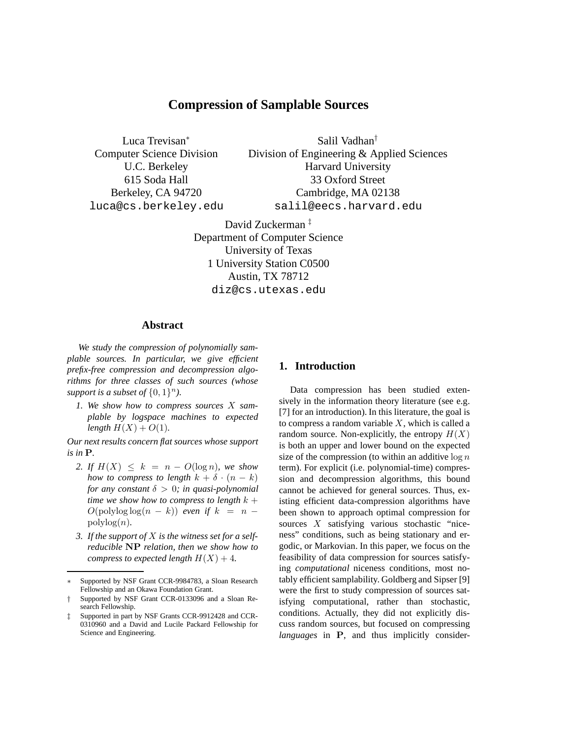# **Compression of Samplable Sources**

Luca Trevisan<sup>∗</sup> Computer Science Division U.C. Berkeley 615 Soda Hall Berkeley, CA 94720 luca@cs.berkeley.edu

Salil Vadhan† Division of Engineering & Applied Sciences Harvard University 33 Oxford Street Cambridge, MA 02138 salil@eecs.harvard.edu

David Zuckerman ‡ Department of Computer Science University of Texas 1 University Station C0500 Austin, TX 78712 diz@cs.utexas.edu

## **Abstract**

*We study the compression of polynomially samplable sources. In particular, we give efficient prefix-free compression and decompression algorithms for three classes of such sources (whose* support is a subset of  $\{0,1\}^n$ ).

*1. We show how to compress sources* X *samplable by logspace machines to expected length*  $H(X) + O(1)$ *.* 

*Our next results concern flat sources whose support is in* P*.*

- 2. If  $H(X) \leq k = n O(\log n)$ *, we show how to compress to length*  $k + \delta \cdot (n - k)$ *for any constant*  $\delta > 0$ *; in quasi-polynomial time we show how to compress to length*  $k +$  $O(polylog log(n - k))$  *even if*  $k = n - 1$ polylog(n)*.*
- *3. If the support of* X *is the witness set for a selfreducible* NP *relation, then we show how to compress to expected length*  $H(X) + 4$ *.*

# **1. Introduction**

Data compression has been studied extensively in the information theory literature (see e.g. [7] for an introduction). In this literature, the goal is to compress a random variable  $X$ , which is called a random source. Non-explicitly, the entropy  $H(X)$ is both an upper and lower bound on the expected size of the compression (to within an additive  $\log n$ term). For explicit (i.e. polynomial-time) compression and decompression algorithms, this bound cannot be achieved for general sources. Thus, existing efficient data-compression algorithms have been shown to approach optimal compression for sources X satisfying various stochastic "niceness" conditions, such as being stationary and ergodic, or Markovian. In this paper, we focus on the feasibility of data compression for sources satisfying *computational* niceness conditions, most notably efficient samplability. Goldberg and Sipser [9] were the first to study compression of sources satisfying computational, rather than stochastic, conditions. Actually, they did not explicitly discuss random sources, but focused on compressing *languages* in P, and thus implicitly consider-

Supported by NSF Grant CCR-9984783, a Sloan Research Fellowship and an Okawa Foundation Grant.

<sup>†</sup> Supported by NSF Grant CCR-0133096 and a Sloan Research Fellowship.

Supported in part by NSF Grants CCR-9912428 and CCR-0310960 and a David and Lucile Packard Fellowship for Science and Engineering.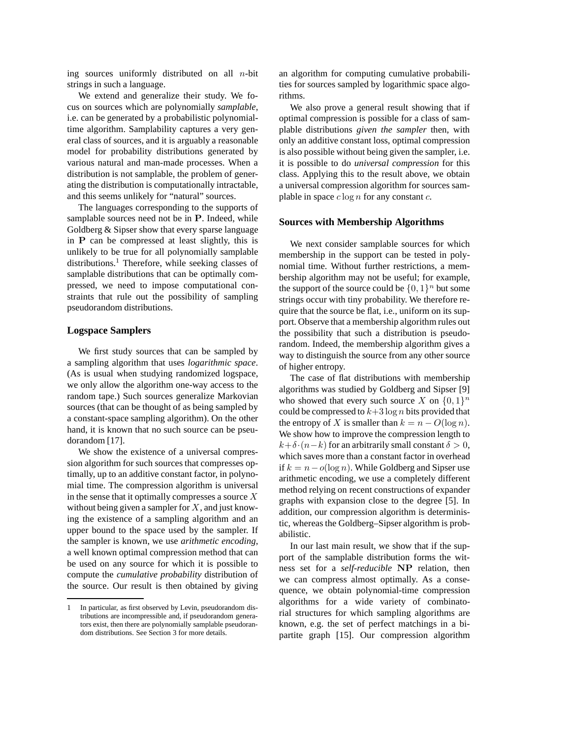ing sources uniformly distributed on all  $n$ -bit strings in such a language.

We extend and generalize their study. We focus on sources which are polynomially *samplable*, i.e. can be generated by a probabilistic polynomialtime algorithm. Samplability captures a very general class of sources, and it is arguably a reasonable model for probability distributions generated by various natural and man-made processes. When a distribution is not samplable, the problem of generating the distribution is computationally intractable, and this seems unlikely for "natural" sources.

The languages corresponding to the supports of samplable sources need not be in P. Indeed, while Goldberg & Sipser show that every sparse language in P can be compressed at least slightly, this is unlikely to be true for all polynomially samplable distributions.<sup>1</sup> Therefore, while seeking classes of samplable distributions that can be optimally compressed, we need to impose computational constraints that rule out the possibility of sampling pseudorandom distributions.

#### **Logspace Samplers**

We first study sources that can be sampled by a sampling algorithm that uses *logarithmic space*. (As is usual when studying randomized logspace, we only allow the algorithm one-way access to the random tape.) Such sources generalize Markovian sources (that can be thought of as being sampled by a constant-space sampling algorithm). On the other hand, it is known that no such source can be pseudorandom [17].

We show the existence of a universal compression algorithm for such sources that compresses optimally, up to an additive constant factor, in polynomial time. The compression algorithm is universal in the sense that it optimally compresses a source  $X$ without being given a sampler for  $X$ , and just knowing the existence of a sampling algorithm and an upper bound to the space used by the sampler. If the sampler is known, we use *arithmetic encoding*, a well known optimal compression method that can be used on any source for which it is possible to compute the *cumulative probability* distribution of the source. Our result is then obtained by giving

an algorithm for computing cumulative probabilities for sources sampled by logarithmic space algorithms.

We also prove a general result showing that if optimal compression is possible for a class of samplable distributions *given the sampler* then, with only an additive constant loss, optimal compression is also possible without being given the sampler, i.e. it is possible to do *universal compression* for this class. Applying this to the result above, we obtain a universal compression algorithm for sources samplable in space  $c \log n$  for any constant  $c$ .

#### **Sources with Membership Algorithms**

We next consider samplable sources for which membership in the support can be tested in polynomial time. Without further restrictions, a membership algorithm may not be useful; for example, the support of the source could be  $\{0, 1\}^n$  but some strings occur with tiny probability. We therefore require that the source be flat, i.e., uniform on its support. Observe that a membership algorithm rules out the possibility that such a distribution is pseudorandom. Indeed, the membership algorithm gives a way to distinguish the source from any other source of higher entropy.

The case of flat distributions with membership algorithms was studied by Goldberg and Sipser [9] who showed that every such source X on  $\{0,1\}^n$ could be compressed to  $k+3 \log n$  bits provided that the entropy of X is smaller than  $k = n - O(\log n)$ . We show how to improve the compression length to  $k+\delta \cdot (n-k)$  for an arbitrarily small constant  $\delta > 0$ , which saves more than a constant factor in overhead if  $k = n - o(\log n)$ . While Goldberg and Sipser use arithmetic encoding, we use a completely different method relying on recent constructions of expander graphs with expansion close to the degree [5]. In addition, our compression algorithm is deterministic, whereas the Goldberg–Sipser algorithm is probabilistic.

In our last main result, we show that if the support of the samplable distribution forms the witness set for a *self-reducible* NP relation, then we can compress almost optimally. As a consequence, we obtain polynomial-time compression algorithms for a wide variety of combinatorial structures for which sampling algorithms are known, e.g. the set of perfect matchings in a bipartite graph [15]. Our compression algorithm

<sup>1</sup> In particular, as first observed by Levin, pseudorandom distributions are incompressible and, if pseudorandom generators exist, then there are polynomially samplable pseudorandom distributions. See Section 3 for more details.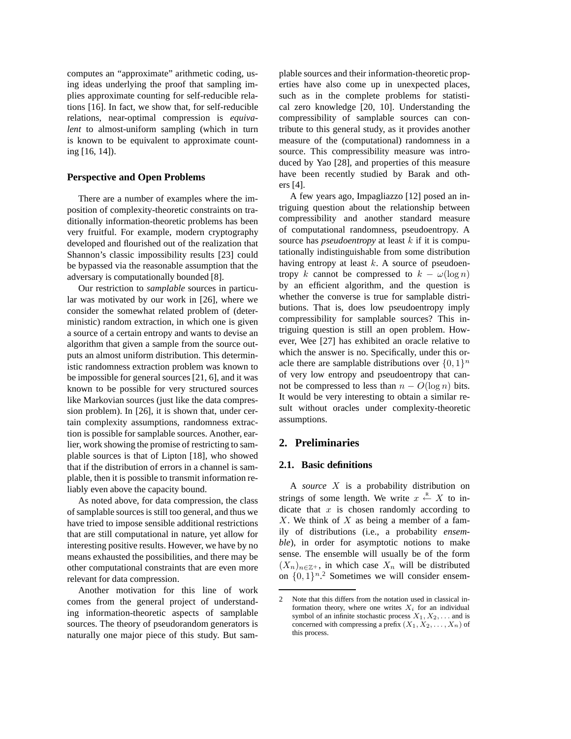computes an "approximate" arithmetic coding, using ideas underlying the proof that sampling implies approximate counting for self-reducible relations [16]. In fact, we show that, for self-reducible relations, near-optimal compression is *equivalent* to almost-uniform sampling (which in turn is known to be equivalent to approximate counting [16, 14]).

#### **Perspective and Open Problems**

There are a number of examples where the imposition of complexity-theoretic constraints on traditionally information-theoretic problems has been very fruitful. For example, modern cryptography developed and flourished out of the realization that Shannon's classic impossibility results [23] could be bypassed via the reasonable assumption that the adversary is computationally bounded [8].

Our restriction to *samplable* sources in particular was motivated by our work in [26], where we consider the somewhat related problem of (deterministic) random extraction, in which one is given a source of a certain entropy and wants to devise an algorithm that given a sample from the source outputs an almost uniform distribution. This deterministic randomness extraction problem was known to be impossible for general sources [21, 6], and it was known to be possible for very structured sources like Markovian sources (just like the data compression problem). In [26], it is shown that, under certain complexity assumptions, randomness extraction is possible for samplable sources. Another, earlier, work showing the promise of restricting to samplable sources is that of Lipton [18], who showed that if the distribution of errors in a channel is samplable, then it is possible to transmit information reliably even above the capacity bound.

As noted above, for data compression, the class of samplable sources is still too general, and thus we have tried to impose sensible additional restrictions that are still computational in nature, yet allow for interesting positive results. However, we have by no means exhausted the possibilities, and there may be other computational constraints that are even more relevant for data compression.

Another motivation for this line of work comes from the general project of understanding information-theoretic aspects of samplable sources. The theory of pseudorandom generators is naturally one major piece of this study. But samplable sources and their information-theoretic properties have also come up in unexpected places, such as in the complete problems for statistical zero knowledge [20, 10]. Understanding the compressibility of samplable sources can contribute to this general study, as it provides another measure of the (computational) randomness in a source. This compressibility measure was introduced by Yao [28], and properties of this measure have been recently studied by Barak and others [4].

A few years ago, Impagliazzo [12] posed an intriguing question about the relationship between compressibility and another standard measure of computational randomness, pseudoentropy. A source has *pseudoentropy* at least k if it is computationally indistinguishable from some distribution having entropy at least  $k$ . A source of pseudoentropy k cannot be compressed to  $k - \omega(\log n)$ by an efficient algorithm, and the question is whether the converse is true for samplable distributions. That is, does low pseudoentropy imply compressibility for samplable sources? This intriguing question is still an open problem. However, Wee [27] has exhibited an oracle relative to which the answer is no. Specifically, under this oracle there are samplable distributions over  $\{0,1\}^n$ of very low entropy and pseudoentropy that cannot be compressed to less than  $n - O(\log n)$  bits. It would be very interesting to obtain a similar result without oracles under complexity-theoretic assumptions.

### **2. Preliminaries**

#### **2.1. Basic definitions**

A *source* X is a probability distribution on strings of some length. We write  $x \stackrel{\text{R}}{\leftarrow} X$  to indicate that  $x$  is chosen randomly according to  $X$ . We think of  $X$  as being a member of a family of distributions (i.e., a probability *ensemble*), in order for asymptotic notions to make sense. The ensemble will usually be of the form  $(X_n)_{n \in \mathbb{Z}^+}$ , in which case  $X_n$  will be distributed on  $\{0,1\}^n$ <sup>2</sup> Sometimes we will consider ensem-

<sup>2</sup> Note that this differs from the notation used in classical information theory, where one writes  $X_i$  for an individual symbol of an infinite stochastic process  $X_1, X_2, \ldots$  and is concerned with compressing a prefix  $(X_1, X_2, \ldots, X_n)$  of this process.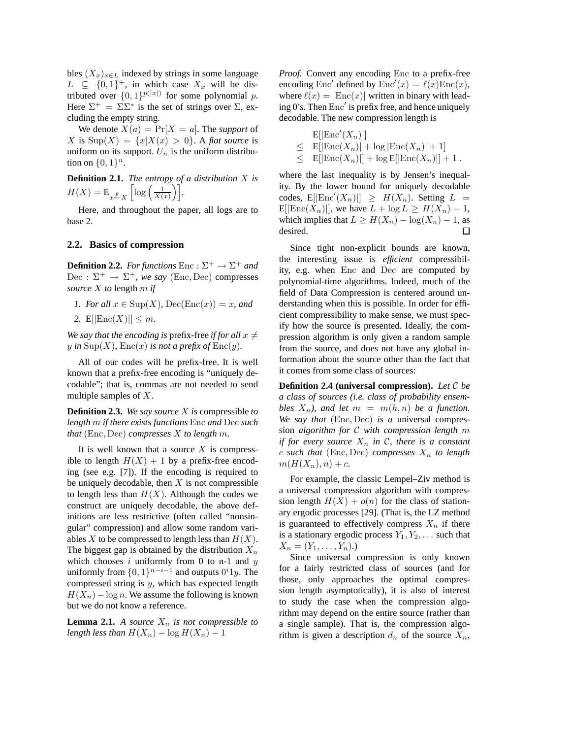bles  $(X_x)_{x \in L}$  indexed by strings in some language  $L \subseteq \{0,1\}^+$ , in which case  $X_x$  will be distributed over  $\{0,1\}^{p(|x|)}$  for some polynomial p. Here  $\Sigma^+ = \Sigma \Sigma^*$  is the set of strings over  $\Sigma$ , excluding the empty string.

We denote  $X(a) = Pr[X = a]$ . The *support* of X is  $\text{Sup}(X) = \{x | X(x) > 0\}$ . A *flat source* is uniform on its support.  $U_n$  is the uniform distribution on  $\{0,1\}^n$ .

**Definition 2.1.** *The entropy of a distribution* X *is*  $H(X) = \mathbb{E}_{x \stackrel{R}{\leftarrow} X}$  $\left[\log\left(\frac{1}{X(x)}\right)\right].$ 

Here, and throughout the paper, all logs are to base 2.

#### **2.2. Basics of compression**

**Definition 2.2.** *For functions*  $\text{Enc}: \Sigma^+ \to \Sigma^+$  *and*  $Dec: \Sigma^+ \to \Sigma^+$ , we say (Enc, Dec) compresses *source* X *to* length m *if*

- *1. For all*  $x \in \text{Sup}(X)$ ,  $\text{Dec}(\text{Enc}(x)) = x$ , and
- 2.  $E[|{\rm Enc}(X)|] \leq m$ .

*We say that the encoding is prefix-free if for all*  $x \neq 0$ y in  $\text{Sup}(X)$ ,  $\text{Enc}(x)$  *is not a prefix of*  $\text{Enc}(y)$ *.* 

All of our codes will be prefix-free. It is well known that a prefix-free encoding is "uniquely decodable"; that is, commas are not needed to send multiple samples of  $X$ .

**Definition 2.3.** *We say source* X *is* compressible *to length* m *if there exists functions* Enc *and* Dec *such that* (Enc, Dec) *compresses* X *to length* m*.*

It is well known that a source  $X$  is compressible to length  $H(X) + 1$  by a prefix-free encoding (see e.g. [7]). If the encoding is required to be uniquely decodable, then  $X$  is not compressible to length less than  $H(X)$ . Although the codes we construct are uniquely decodable, the above definitions are less restrictive (often called "nonsingular" compression) and allow some random variables X to be compressed to length less than  $H(X)$ . The biggest gap is obtained by the distribution  $X_n$ which chooses  $i$  uniformly from 0 to n-1 and  $y$ uniformly from  $\{0,1\}^{n-i-1}$  and outputs  $0^i1y$ . The compressed string is  $y$ , which has expected length  $H(X_n) - \log n$ . We assume the following is known but we do not know a reference.

**Lemma 2.1.** *A source*  $X_n$  *is not compressible to length less than*  $H(X_n) - \log H(X_n) - 1$ 

*Proof.* Convert any encoding Enc to a prefix-free encoding Enc' defined by  $\text{Enc}'(x) = \ell(x) \text{Enc}(x)$ , where  $\ell(x) = |Enc(x)|$  written in binary with leading 0's. Then Enc′ is prefix free, and hence uniquely decodable. The new compression length is

$$
\begin{array}{ll} & \text{E}[|\text{Enc}'(X_n)|] \\ \leq & \text{E}[|\text{Enc}(X_n)| + \log|\text{Enc}(X_n)| + 1] \\ \leq & \text{E}[|\text{Enc}(X_n)|] + \log \text{E}[|\text{Enc}(X_n)|] + 1 \, . \end{array}
$$

where the last inequality is by Jensen's inequality. By the lower bound for uniquely decodable codes,  $E[|\text{Enc}'(X_n)|] \geq H(X_n)$ . Setting  $L =$ E[ $|\text{Enc}(X_n)|$ ], we have  $L + \log L \ge H(X_n) - 1$ , which implies that  $L \ge H(X_n) - \log(X_n) - 1$ , as desired. desired.

Since tight non-explicit bounds are known, the interesting issue is *efficient* compressibility, e.g. when Enc and Dec are computed by polynomial-time algorithms. Indeed, much of the field of Data Compression is centered around understanding when this is possible. In order for efficient compressibility to make sense, we must specify how the source is presented. Ideally, the compression algorithm is only given a random sample from the source, and does not have any global information about the source other than the fact that it comes from some class of sources:

**Definition 2.4 (universal compression).** *Let* C *be a class of sources (i.e. class of probability ensembles*  $X_n$ *), and let*  $m = m(h, n)$  *be a function. We say that* (Enc, Dec) *is a* universal compression *algorithm for* C *with compression length* m *if for every source*  $X_n$  *in*  $\mathcal{C}$ *, there is a constant*  $c$  *such that* (Enc, Dec) *compresses*  $X_n$  *to length*  $m(H(X_n), n) + c$ 

For example, the classic Lempel–Ziv method is a universal compression algorithm with compression length  $H(X) + o(n)$  for the class of stationary ergodic processes [29]. (That is, the LZ method is guaranteed to effectively compress  $X_n$  if there is a stationary ergodic process  $Y_1, Y_2, \ldots$  such that  $X_n = (Y_1, \ldots, Y_n).$ 

Since universal compression is only known for a fairly restricted class of sources (and for those, only approaches the optimal compression length asymptotically), it is also of interest to study the case when the compression algorithm may depend on the entire source (rather than a single sample). That is, the compression algorithm is given a description  $d_n$  of the source  $X_n$ ,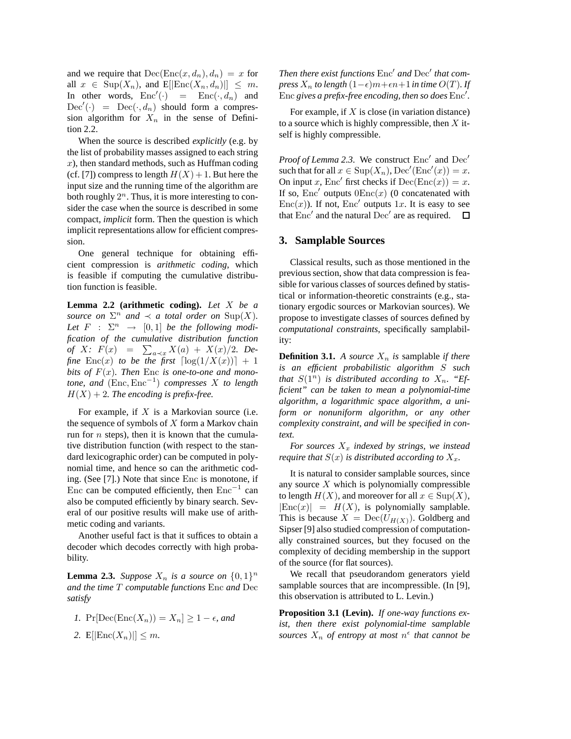and we require that  $Dec(Enc(x, d_n), d_n) = x$  for all  $x \in \text{Sup}(X_n)$ , and  $E[|\text{Enc}(X_n, d_n)|] \leq m$ . In other words,  $Enc'(\cdot)$  =  $Enc(\cdot, d_n)$  and  $\text{Dec}'(\cdot) = \text{Dec}(\cdot, d_n)$  should form a compression algorithm for  $X_n$  in the sense of Definition 2.2.

When the source is described *explicitly* (e.g. by the list of probability masses assigned to each string  $x$ ), then standard methods, such as Huffman coding (cf. [7]) compress to length  $H(X) + 1$ . But here the input size and the running time of the algorithm are both roughly  $2^n$ . Thus, it is more interesting to consider the case when the source is described in some compact, *implicit* form. Then the question is which implicit representations allow for efficient compression.

One general technique for obtaining efficient compression is *arithmetic coding*, which is feasible if computing the cumulative distribution function is feasible.

**Lemma 2.2 (arithmetic coding).** *Let* X *be a source on*  $\Sigma^n$  *and*  $\prec$  *a total order on*  $\text{Sup}(X)$ *.* Let  $F : \Sigma^n \rightarrow [0,1]$  be the following modi*fication of the cumulative distribution function of*  $X$ *:*  $F(x) = \sum_{a \prec x} X(a) + X(x)/2$ *. Define*  $Enc(x)$  *to be the first*  $\lceil log(1/X(x)) \rceil + 1$ *bits of*  $F(x)$ *. Then* Enc *is one-to-one and monotone, and* (Enc,Enc<sup>−</sup><sup>1</sup> ) *compresses* X *to length*  $H(X) + 2$ *. The encoding is prefix-free.* 

For example, if  $X$  is a Markovian source (i.e. the sequence of symbols of  $X$  form a Markov chain run for  $n$  steps), then it is known that the cumulative distribution function (with respect to the standard lexicographic order) can be computed in polynomial time, and hence so can the arithmetic coding. (See [7].) Note that since Enc is monotone, if Enc can be computed efficiently, then  $Enc^{-1}$  can also be computed efficiently by binary search. Several of our positive results will make use of arithmetic coding and variants.

Another useful fact is that it suffices to obtain a decoder which decodes correctly with high probability.

**Lemma 2.3.** *Suppose*  $X_n$  *is a source on*  $\{0,1\}^n$ *and the time* T *computable functions* Enc *and* Dec *satisfy*

$$
I. \Pr[\text{Dec}(\text{Enc}(X_n)) = X_n] \ge 1 - \epsilon, \text{ and}
$$

2.  $E[|{\rm Enc}(X_n)|] \leq m$ .

*Then there exist functions* Enc′ *and* Dec′ *that compress*  $X_n$  *to length*  $(1 - \epsilon)m + \epsilon n + 1$  *in time*  $O(T)$ *. If* Enc *gives a prefix-free encoding, then so does* Enc′ *.*

For example, if  $X$  is close (in variation distance) to a source which is highly compressible, then  $X$  itself is highly compressible.

Proof of Lemma 2.3. We construct Enc<sup>'</sup> and Dec<sup>'</sup> such that for all  $x \in \text{Sup}(X_n)$ ,  $\text{Dec}'(\text{Enc}'(x)) = x$ . On input x, Enc' first checks if  $Dec(Enc(x)) = x$ . If so, Enc' outputs  $0\text{Enc}(x)$  (0 concatenated with Enc $(x)$ ). If not, Enc' outputs 1x. It is easy to see that  $Enc'$  and the natural  $Dec'$  are as required.  $\Box$ 

# **3. Samplable Sources**

Classical results, such as those mentioned in the previous section, show that data compression is feasible for various classes of sources defined by statistical or information-theoretic constraints (e.g., stationary ergodic sources or Markovian sources). We propose to investigate classes of sources defined by *computational constraints*, specifically samplability:

**Definition 3.1.** *A source*  $X_n$  *is* samplable *if there is an efficient probabilistic algorithm* S *such that*  $S(1^n)$  *is distributed according to*  $X_n$ *. "Efficient" can be taken to mean a polynomial-time algorithm, a logarithmic space algorithm, a uniform or nonuniform algorithm, or any other complexity constraint, and will be specified in context.*

For sources  $X_x$  *indexed by strings, we instead require that*  $S(x)$  *is distributed according to*  $X_x$ *.* 

It is natural to consider samplable sources, since any source  $X$  which is polynomially compressible to length  $H(X)$ , and moreover for all  $x \in \text{Sup}(X)$ ,  $|Enc(x)| = H(X)$ , is polynomially samplable. This is because  $X = \text{Dec}(U_{H(X)})$ . Goldberg and Sipser [9] also studied compression of computationally constrained sources, but they focused on the complexity of deciding membership in the support of the source (for flat sources).

We recall that pseudorandom generators yield samplable sources that are incompressible. (In [9], this observation is attributed to L. Levin.)

**Proposition 3.1 (Levin).** *If one-way functions exist, then there exist polynomial-time samplable* sources  $X_n$  of entropy at most  $n^{\epsilon}$  that cannot be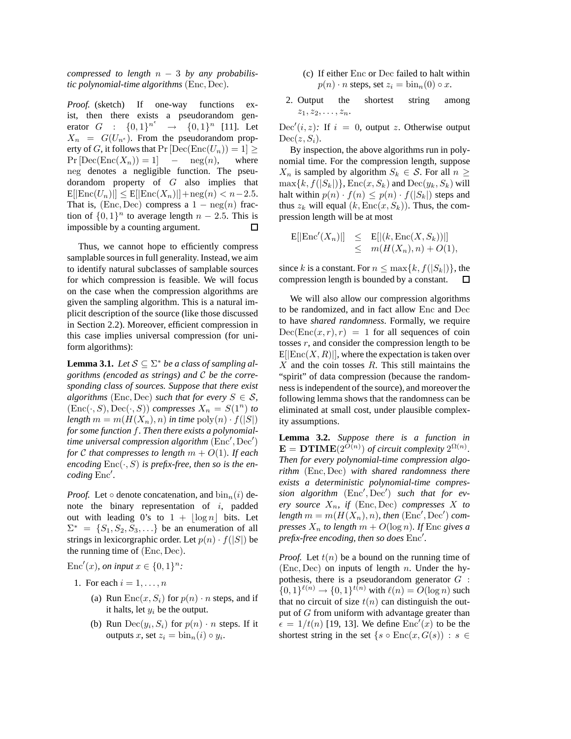*compressed to length* n − 3 *by any probabilistic polynomial-time algorithms* (Enc, Dec)*.*

*Proof.* (sketch) If one-way functions exist, then there exists a pseudorandom generator  $G : \{0,1\}^{n^e}$  $\rightarrow \{0,1\}^n$  [11]. Let  $X_n = G(U_{n^e})$ . From the pseudorandom property of G, it follows that  $Pr[Dec(Enc(U_n)) = 1] \ge Pr[Dec(Enc(X_n)) = 1] - neg(n)$ , where  $Pr[Dec(Enc(X_n)) = 1]$  –  $neg(n)$ , neg denotes a negligible function. The pseudorandom property of G also implies that  $E[|\text{Enc}(U_n)|] \leq E[|\text{Enc}(X_n)|] + \text{neg}(n) < n-2.5.$ That is, (Enc, Dec) compress a  $1 - \text{neg}(n)$  fraction of  $\{0, 1\}^n$  to average length  $n - 2.5$ . This is impossible by a counting argument.

Thus, we cannot hope to efficiently compress samplable sources in full generality. Instead, we aim to identify natural subclasses of samplable sources for which compression is feasible. We will focus on the case when the compression algorithms are given the sampling algorithm. This is a natural implicit description of the source (like those discussed in Section 2.2). Moreover, efficient compression in this case implies universal compression (for uniform algorithms):

**Lemma 3.1.** *Let*  $S \subseteq \Sigma^*$  *be a class of sampling algorithms (encoded as strings) and* C *be the corresponding class of sources. Suppose that there exist algorithms* (Enc, Dec) *such that for every*  $S \in \mathcal{S}$ ,  $(Enc(\cdot, S), Dec(\cdot, S))$  *compresses*  $X_n = S(1^n)$  *to length*  $m = m(H(X_n), n)$  *in time*  $\text{poly}(n) \cdot f(|S|)$ *for some function* f*. Then there exists a polynomialtime universal compression algorithm* (Enc′ , Dec′ ) *for* C *that compresses to length*  $m + O(1)$ *. If each* encoding  $Enc(\cdot, S)$  is prefix-free, then so is the en*coding* Enc′ *.*

*Proof.* Let  $\circ$  denote concatenation, and  $\text{bin}_n(i)$  denote the binary representation of  $i$ , padded out with leading 0's to  $1 + |\log n|$  bits. Let  $\Sigma^* = \{S_1, S_2, S_3, \ldots\}$  be an enumeration of all strings in lexicorgraphic order. Let  $p(n) \cdot f(|S|)$  be the running time of (Enc, Dec).

Enc'(x), on input  $x \in \{0, 1\}^n$ :

- 1. For each  $i = 1, \ldots, n$ 
	- (a) Run  $Enc(x, S_i)$  for  $p(n) \cdot n$  steps, and if it halts, let  $y_i$  be the output.
	- (b) Run  $Dec(y_i, S_i)$  for  $p(n) \cdot n$  steps. If it outputs x, set  $z_i = \text{bin}_n(i) \circ y_i$ .
- (c) If either Enc or Dec failed to halt within  $p(n) \cdot n$  steps, set  $z_i = \text{bin}_n(0) \circ x$ .
- 2. Output the shortest string among  $z_1, z_2, \ldots, z_n$ .

Dec'(*i*, *z*): If  $i = 0$ , output *z*. Otherwise output  $Dec(z, S_i).$ 

By inspection, the above algorithms run in polynomial time. For the compression length, suppose  $X_n$  is sampled by algorithm  $S_k \in \mathcal{S}$ . For all  $n \geq$  $\max\{k, f(|S_k|)\}, \text{Enc}(x, S_k)$  and  $\text{Dec}(y_k, S_k)$  will halt within  $p(n) \cdot f(n) \leq p(n) \cdot f(|S_k|)$  steps and thus  $z_k$  will equal  $(k, Enc(x, S_k))$ . Thus, the compression length will be at most

$$
E[|\text{Enc}'(X_n)|] \leq E[|(k, \text{Enc}(X, S_k))|]
$$
  

$$
\leq m(H(X_n), n) + O(1),
$$

since k is a constant. For  $n \leq \max\{k, f(|S_k|)\}\)$ , the compression length is bounded by a constant. compression length is bounded by a constant.

We will also allow our compression algorithms to be randomized, and in fact allow Enc and Dec to have *shared randomness*. Formally, we require  $Dec(Enc(x, r), r) = 1$  for all sequences of coin tosses  $r$ , and consider the compression length to be  $E[|Enc(X, R)|]$ , where the expectation is taken over  $X$  and the coin tosses  $R$ . This still maintains the "spirit" of data compression (because the randomness is independent of the source), and moreover the following lemma shows that the randomness can be eliminated at small cost, under plausible complexity assumptions.

**Lemma 3.2.** *Suppose there is a function in*  **of circuit complexity**  $2^{\Omega(n)}$ **.** *Then for every polynomial-time compression algorithm* (Enc, Dec) *with shared randomness there exists a deterministic polynomial-time compression algorithm* (Enc′ , Dec′ ) *such that for ev* $erv$  *source*  $X_n$ , *if* (Enc, Dec) *compresses* X *to*  $length\ m = m(H(X_n), n)$ , then  $(\text{Enc}', \text{Dec}')$  com*presses*  $X_n$  *to length*  $m + O(\log n)$ *. If* Enc *gives a prefix-free encoding, then so does* Enc′ *.*

*Proof.* Let  $t(n)$  be a bound on the running time of (Enc, Dec) on inputs of length  $n$ . Under the hypothesis, there is a pseudorandom generator  $G$ :  $\{0,1\}^{\ell(n)} \to \{0,1\}^{t(n)}$  with  $\ell(n) = O(\log n)$  such that no circuit of size  $t(n)$  can distinguish the output of G from uniform with advantage greater than  $\epsilon = 1/t(n)$  [19, 13]. We define  $Enc'(x)$  to be the shortest string in the set  $\{s \circ \text{Enc}(x, G(s)) : s \in$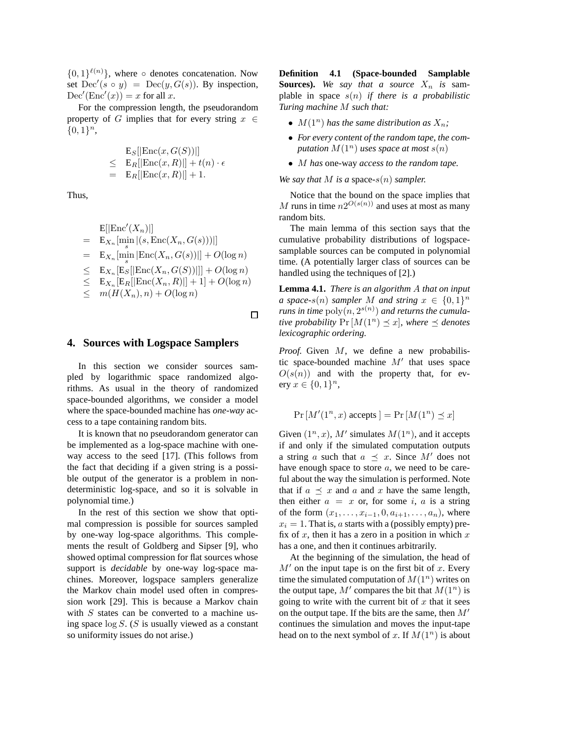$\{0,1\}^{\ell(n)}\}$ , where  $\circ$  denotes concatenation. Now set  $\text{Dec}'(s \circ y) = \text{Dec}(y, G(s))$ . By inspection,  $Dec'(Enc'(x)) = x$  for all x.

For the compression length, the pseudorandom property of G implies that for every string  $x \in$  $\{0,1\}^n$ ,

$$
\begin{array}{rcl}\n\mathbf{E}_S[|\text{Enc}(x, G(S))|] \\
\leq & \mathbf{E}_R[|\text{Enc}(x, R)|] + t(n) \cdot \epsilon \\
= & \mathbf{E}_R[|\text{Enc}(x, R)|] + 1.\n\end{array}
$$

Thus,

$$
E[|\text{Enc}'(X_n)|]
$$
  
=  $E_{X_n}[\min_s | (s, \text{Enc}(X_n, G(s)))|]$   
=  $E_{X_n}[\min_s |\text{Enc}(X_n, G(s))|] + O(\log n)$   
 $\leq E_{X_n}[E_S|[\text{Enc}(X_n, G(S))|]] + O(\log n)$   
 $\leq E_{X_n}[E_R[|\text{Enc}(X_n, R)|] + 1] + O(\log n)$   
 $\leq m(H(X_n), n) + O(\log n)$ 

 $\Box$ 

# **4. Sources with Logspace Samplers**

In this section we consider sources sampled by logarithmic space randomized algorithms. As usual in the theory of randomized space-bounded algorithms, we consider a model where the space-bounded machine has *one-way* access to a tape containing random bits.

It is known that no pseudorandom generator can be implemented as a log-space machine with oneway access to the seed [17]. (This follows from the fact that deciding if a given string is a possible output of the generator is a problem in nondeterministic log-space, and so it is solvable in polynomial time.)

In the rest of this section we show that optimal compression is possible for sources sampled by one-way log-space algorithms. This complements the result of Goldberg and Sipser [9], who showed optimal compression for flat sources whose support is *decidable* by one-way log-space machines. Moreover, logspace samplers generalize the Markov chain model used often in compression work [29]. This is because a Markov chain with  $S$  states can be converted to a machine using space  $\log S$ . (S is usually viewed as a constant so uniformity issues do not arise.)

**Definition 4.1 (Space-bounded Samplable Sources).** We say that a source  $X_n$  is samplable in space s(n) *if there is a probabilistic Turing machine* M *such that:*

- $M(1^n)$  has the same distribution as  $X_n$ ;
- *For every content of the random tape, the computation*  $M(1^n)$  *uses space at most*  $s(n)$
- M *has* one-way *access to the random tape.*

*We say that*  $M$  *is a space-s(n) sampler.* 

Notice that the bound on the space implies that M runs in time  $n2^{O(s(n))}$  and uses at most as many random bits.

The main lemma of this section says that the cumulative probability distributions of logspacesamplable sources can be computed in polynomial time. (A potentially larger class of sources can be handled using the techniques of [2].)

**Lemma 4.1.** *There is an algorithm* A *that on input a* space-s(n) sampler M and string  $x \in \{0,1\}^n$  $r$ uns in time  $\operatorname{poly}(n, 2^{s(n)})$  and returns the cumula*tive probability*  $Pr[M(1^n) \leq x]$ *, where*  $\leq$  *denotes lexicographic ordering.*

*Proof.* Given M, we define a new probabilistic space-bounded machine  $M'$  that uses space  $O(s(n))$  and with the property that, for every  $x \in \{0, 1\}^n$ ,

$$
\Pr\left[M'(1^n, x) \text{ accepts}\,\right] = \Pr\left[M(1^n) \preceq x\right]
$$

Given  $(1^n, x)$ , M' simulates  $M(1^n)$ , and it accepts if and only if the simulated computation outputs a string a such that  $a \preceq x$ . Since M' does not have enough space to store  $a$ , we need to be careful about the way the simulation is performed. Note that if  $a \preceq x$  and a and x have the same length, then either  $a = x$  or, for some i, a is a string of the form  $(x_1, ..., x_{i-1}, 0, a_{i+1}, ..., a_n)$ , where  $x_i = 1$ . That is, a starts with a (possibly empty) prefix of x, then it has a zero in a position in which  $x$ has a one, and then it continues arbitrarily.

At the beginning of the simulation, the head of  $M'$  on the input tape is on the first bit of x. Every time the simulated computation of  $M(1^n)$  writes on the output tape,  $M'$  compares the bit that  $M(1^n)$  is going to write with the current bit of  $x$  that it sees on the output tape. If the bits are the same, then  $M'$ continues the simulation and moves the input-tape head on to the next symbol of x. If  $M(1^n)$  is about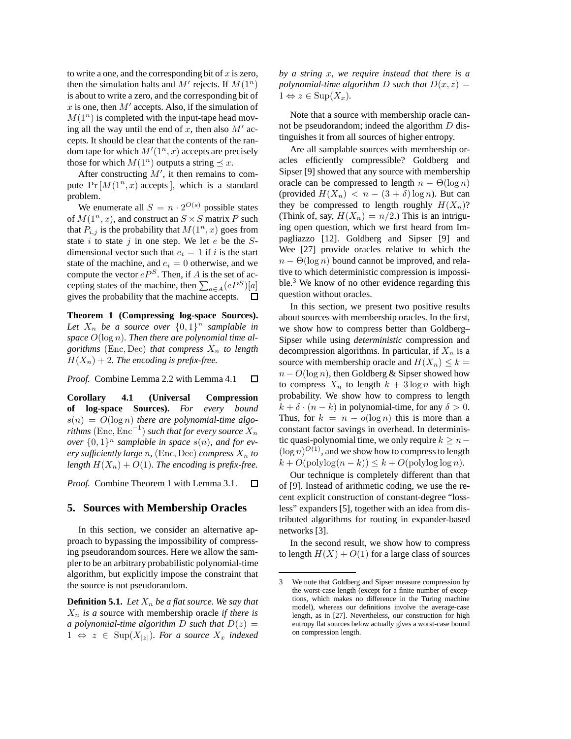to write a one, and the corresponding bit of  $x$  is zero, then the simulation halts and  $M'$  rejects. If  $M(1^n)$ is about to write a zero, and the corresponding bit of x is one, then  $M'$  accepts. Also, if the simulation of  $M(1^n)$  is completed with the input-tape head moving all the way until the end of  $x$ , then also  $M'$  accepts. It should be clear that the contents of the random tape for which  $M'(1^n, x)$  accepts are precisely those for which  $M(1^n)$  outputs a string  $\preceq x$ .

After constructing  $M'$ , it then remains to compute  $Pr[M(1^n, x)$  accepts], which is a standard problem.

We enumerate all  $S = n \cdot 2^{O(s)}$  possible states of  $M(1^n, x)$ , and construct an  $S \times S$  matrix P such that  $P_{i,j}$  is the probability that  $M(1^n, x)$  goes from state  $i$  to state  $j$  in one step. We let  $e$  be the  $S$ dimensional vector such that  $e_i = 1$  if i is the start state of the machine, and  $e_i = 0$  otherwise, and we compute the vector  $eP^S$ . Then, if A is the set of accepting states of the machine, then  $\sum_{a \in A} (eP^S)[a]$ gives the probability that the machine accepts.  $\Box$ 

**Theorem 1 (Compressing log-space Sources).** Let  $X_n$  be a source over  $\{0,1\}^n$  samplable in *space* O(log n)*. Then there are polynomial time algorithms* (Enc, Dec) *that compress*  $X_n$  *to length*  $H(X_n) + 2$ . The encoding is prefix-free.

*Proof.* Combine Lemma 2.2 with Lemma 4.1  $\Box$ 

**Corollary 4.1 (Universal Compression of log-space Sources).** *For every bound* s(n) = O(log n) *there are polynomial-time algo* $rithms\left({\rm Enc}, {\rm Enc}^{-1}\right)$  such that for every source  $X_n$ *over*  $\{0,1\}^n$  *samplable in space*  $s(n)$ *, and for every sufficiently large n*, (Enc, Dec) *compress*  $X_n$  *to length*  $H(X_n) + O(1)$ *. The encoding is prefix-free.* 

*Proof.* Combine Theorem 1 with Lemma 3.1.  $\Box$ 

## **5. Sources with Membership Oracles**

In this section, we consider an alternative approach to bypassing the impossibility of compressing pseudorandom sources. Here we allow the sampler to be an arbitrary probabilistic polynomial-time algorithm, but explicitly impose the constraint that the source is not pseudorandom.

**Definition 5.1.** *Let*  $X_n$  *be a flat source. We say that*  $X_n$  *is a* source with membership oracle *if there is a polynomial-time algorithm D such that*  $D(z)$  =  $1 \Leftrightarrow z \in \text{Sup}(X_{|z|})$ *. For a source*  $X_x$  *indexed*  *by a string* x*, we require instead that there is a polynomial-time algorithm* D *such that*  $D(x, z) =$  $1 \Leftrightarrow z \in \text{Sup}(X_x)$ .

Note that a source with membership oracle cannot be pseudorandom; indeed the algorithm  $D$  distinguishes it from all sources of higher entropy.

Are all samplable sources with membership oracles efficiently compressible? Goldberg and Sipser [9] showed that any source with membership oracle can be compressed to length  $n - \Theta(\log n)$ (provided  $H(X_n) < n - (3 + \delta) \log n$ ). But can they be compressed to length roughly  $H(X_n)$ ? (Think of, say,  $H(X_n) = n/2$ .) This is an intriguing open question, which we first heard from Impagliazzo [12]. Goldberg and Sipser [9] and Wee [27] provide oracles relative to which the  $n - \Theta(\log n)$  bound cannot be improved, and relative to which deterministic compression is impossible.<sup>3</sup> We know of no other evidence regarding this question without oracles.

In this section, we present two positive results about sources with membership oracles. In the first, we show how to compress better than Goldberg– Sipser while using *deterministic* compression and decompression algorithms. In particular, if  $X_n$  is a source with membership oracle and  $H(X_n) \leq k =$  $n - O(\log n)$ , then Goldberg & Sipser showed how to compress  $X_n$  to length  $k + 3 \log n$  with high probability. We show how to compress to length  $k + \delta \cdot (n - k)$  in polynomial-time, for any  $\delta > 0$ . Thus, for  $k = n - o(\log n)$  this is more than a constant factor savings in overhead. In deterministic quasi-polynomial time, we only require  $k \geq n (\log n)^{O(1)}$ , and we show how to compress to length  $k + O(\text{polylog}(n-k)) \leq k + O(\text{polylog} \log n).$ 

Our technique is completely different than that of [9]. Instead of arithmetic coding, we use the recent explicit construction of constant-degree "lossless" expanders [5], together with an idea from distributed algorithms for routing in expander-based networks [3].

In the second result, we show how to compress to length  $H(X) + O(1)$  for a large class of sources

<sup>3</sup> We note that Goldberg and Sipser measure compression by the worst-case length (except for a finite number of exceptions, which makes no difference in the Turing machine model), whereas our definitions involve the average-case length, as in [27]. Nevertheless, our construction for high entropy flat sources below actually gives a worst-case bound on compression length.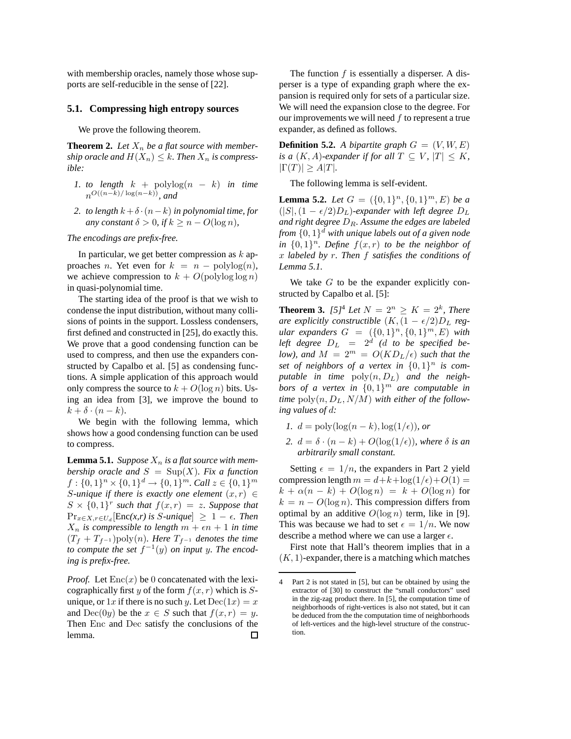with membership oracles, namely those whose supports are self-reducible in the sense of [22].

#### **5.1. Compressing high entropy sources**

We prove the following theorem.

**Theorem 2.** Let  $X_n$  be a flat source with member*ship oracle and*  $H(X_n) \leq k$ . Then  $X_n$  *is compressible:*

- *1. to length*  $k + \text{polylog}(n k)$  *in time*  $n^{O((n-k)/\log(n-k))}$ , and
- 2. to length  $k + \delta \cdot (n k)$  *in polynomial time, for any constant*  $\delta > 0$ *, if*  $k \geq n - O(\log n)$ *,*

*The encodings are prefix-free.*

In particular, we get better compression as  $k$  approaches *n*. Yet even for  $k = n - \text{polylog}(n)$ , we achieve compression to  $k + O(\text{polylog log} n)$ in quasi-polynomial time.

The starting idea of the proof is that we wish to condense the input distribution, without many collisions of points in the support. Lossless condensers, first defined and constructed in [25], do exactly this. We prove that a good condensing function can be used to compress, and then use the expanders constructed by Capalbo et al. [5] as condensing functions. A simple application of this approach would only compress the source to  $k + O(\log n)$  bits. Using an idea from [3], we improve the bound to  $k + \delta \cdot (n - k).$ 

We begin with the following lemma, which shows how a good condensing function can be used to compress.

**Lemma 5.1.** *Suppose*  $X_n$  *is a flat source with membership oracle and*  $S = \text{Sup}(X)$ *. Fix a function*  $f: \{0,1\}^n \times \{0,1\}^d \rightarrow \{0,1\}^m$ . Call  $z \in \{0,1\}^m$ *S*-unique if there is exactly one element  $(x, r) \in$  $S \times \{0,1\}^r$  such that  $f(x,r) = z$ . Suppose that  $\Pr_{x \in X, r \in U_d}[\text{Enc}(x, r) \text{ is } S\text{-unique}] \geq 1 - \epsilon$ . Then  $X_n$  *is compressible to length*  $m + \epsilon n + 1$  *in time*  $(T_f + T_{f^{-1}})$ poly $(n)$ *. Here*  $T_{f^{-1}}$  *denotes the time* to compute the set  $f^{-1}(y)$  on input y. The encod*ing is prefix-free.*

*Proof.* Let  $Enc(x)$  be 0 concatenated with the lexicographically first y of the form  $f(x, r)$  which is Sunique, or  $1x$  if there is no such y. Let  $Dec(1x) = x$ and  $Dec(0y)$  be the  $x \in S$  such that  $f(x, r) = y$ . Then Enc and Dec satisfy the conclusions of the lemma. □

The function  $f$  is essentially a disperser. A disperser is a type of expanding graph where the expansion is required only for sets of a particular size. We will need the expansion close to the degree. For our improvements we will need  $f$  to represent a true expander, as defined as follows.

**Definition 5.2.** *A bipartite graph*  $G = (V, W, E)$ *is a*  $(K, A)$ *-expander if for all*  $T \subseteq V$ *,*  $|T| \le K$ *,*  $|\Gamma(T)| \ge A|T|$ *.* 

The following lemma is self-evident.

**Lemma 5.2.** *Let*  $G = (\{0, 1\}^n, \{0, 1\}^m, E)$  *be a*  $(|S|,(1 - \epsilon/2)D_L)$ -expander with left degree  $D_L$ *and right degree* DR*. Assume the edges are labeled from* {0, 1} <sup>d</sup> *with unique labels out of a given node in*  $\{0,1\}^n$ . Define  $f(x,r)$  to be the neighbor of x *labeled by* r*. Then* f *satisfies the conditions of Lemma 5.1.*

We take  $G$  to be the expander explicitly constructed by Capalbo et al. [5]:

**Theorem 3.**  $[5]^4$  *Let*  $N = 2^n \ge K = 2^k$ , *There are explicitly constructible*  $(K, (1 - \epsilon/2)D_L$  *regular expanders*  $G = (\{0, 1\}^n, \{0, 1\}^m, E)$  *with*  $\emph{left degree } \ \ D_L \ \ = \ \ 2^d \ \ (d \ \ to \ \ be \ \ specified \ \ be$ *low), and*  $M = 2^m = O(KD_L/\epsilon)$  *such that the* set of neighbors of a vertex in  $\{0,1\}^n$  is com*putable in time*  $\text{poly}(n, D_L)$  *and the neighbors of a vertex in* {0, 1} <sup>m</sup> *are computable in time*  $\text{poly}(n, D_L, N/M)$  *with either of the following values of* d*:*

- *1.*  $d = \text{poly}(\log(n k), \log(1/\epsilon))$ *, or*
- 2.  $d = \delta \cdot (n k) + O(\log(1/\epsilon))$ *, where*  $\delta$  *is an arbitrarily small constant.*

Setting  $\epsilon = 1/n$ , the expanders in Part 2 yield compression length  $m = d+k+\log(1/\epsilon)+O(1) =$  $k + \alpha(n - k) + O(\log n) = k + O(\log n)$  for  $k = n - O(\log n)$ . This compression differs from optimal by an additive  $O(\log n)$  term, like in [9]. This was because we had to set  $\epsilon = 1/n$ . We now describe a method where we can use a larger  $\epsilon$ .

First note that Hall's theorem implies that in a  $(K, 1)$ -expander, there is a matching which matches

<sup>4</sup> Part 2 is not stated in [5], but can be obtained by using the extractor of [30] to construct the "small conductors" used in the zig-zag product there. In [5], the computation time of neighborhoods of right-vertices is also not stated, but it can be deduced from the the computation time of neighborhoods of left-vertices and the high-level structure of the construction.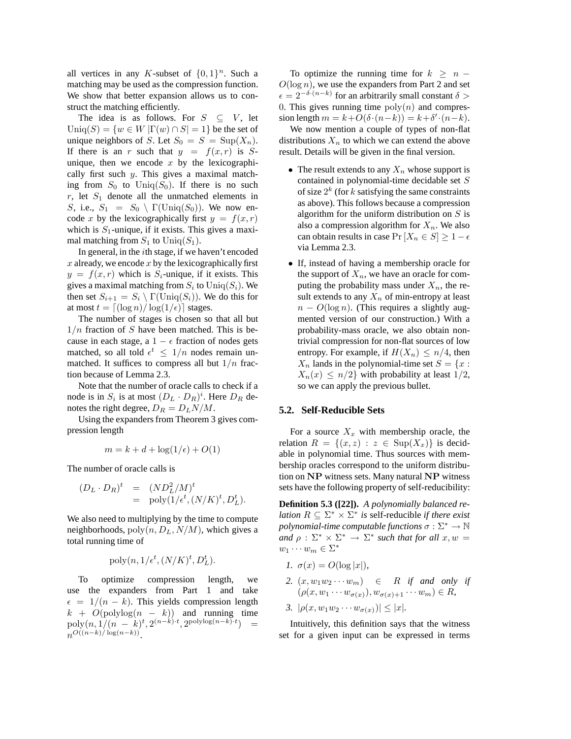all vertices in any K-subset of  $\{0,1\}^n$ . Such a matching may be used as the compression function. We show that better expansion allows us to construct the matching efficiently.

The idea is as follows. For  $S \subseteq V$ , let  $\text{Uniq}(S) = \{w \in W | \Gamma(w) \cap S| = 1\}$  be the set of unique neighbors of S. Let  $S_0 = S = \text{Sup}(X_n)$ . If there is an r such that  $y = f(x, r)$  is Sunique, then we encode  $x$  by the lexicographically first such  $y$ . This gives a maximal matching from  $S_0$  to Uniq( $S_0$ ). If there is no such  $r$ , let  $S_1$  denote all the unmatched elements in S, i.e.,  $S_1 = S_0 \setminus \Gamma(\text{Uniq}(S_0))$ . We now encode x by the lexicographically first  $y = f(x, r)$ which is  $S_1$ -unique, if it exists. This gives a maximal matching from  $S_1$  to  $\text{Uniq}(S_1)$ .

In general, in the ith stage, if we haven't encoded x already, we encode x by the lexicographically first  $y = f(x, r)$  which is  $S_i$ -unique, if it exists. This gives a maximal matching from  $S_i$  to  $\mathrm{Uniq}(S_i)$ . We then set  $S_{i+1} = S_i \setminus \Gamma(\text{Uniq}(S_i))$ . We do this for at most  $t = \lfloor (\log n)/\log(1/\epsilon) \rfloor$  stages.

The number of stages is chosen so that all but  $1/n$  fraction of S have been matched. This is because in each stage, a  $1 - \epsilon$  fraction of nodes gets matched, so all told  $\epsilon^t \leq 1/n$  nodes remain unmatched. It suffices to compress all but  $1/n$  fraction because of Lemma 2.3.

Note that the number of oracle calls to check if a node is in  $S_i$  is at most  $(D_L \cdot D_R)^i$ . Here  $D_R$  denotes the right degree,  $D_R = D_L N/M$ .

Using the expanders from Theorem 3 gives compression length

$$
m = k + d + \log(1/\epsilon) + O(1)
$$

The number of oracle calls is

$$
(D_L \cdot D_R)^t = (ND_L^2/M)^t
$$
  
= poly( $1/\epsilon^t$ , ( $N/K$ )<sup>t</sup>,  $D_L^t$ ).

We also need to multiplying by the time to compute neighborhoods,  $poly(n, D<sub>L</sub>, N/M)$ , which gives a total running time of

$$
\text{poly}(n, 1/\epsilon^t, (N/K)^t, D_L^t).
$$

To optimize compression length, we use the expanders from Part 1 and take  $\epsilon = 1/(n - k)$ . This yields compression length  $k + O(\text{polylog}(n - k))$  and running time  $\text{poly}(n, 1/(n-k)^t, 2^{(n-k)t}, 2^{\text{polylog}(n-k)t}) =$  $n^{O((n-k)/\log(n-k))}$ .

To optimize the running time for  $k \geq n - 1$  $O(\log n)$ , we use the expanders from Part 2 and set  $\epsilon = 2^{-\delta \cdot (n-k)}$  for an arbitrarily small constant  $\delta >$ 0. This gives running time  $poly(n)$  and compression length  $m = k + O(\delta \cdot (n-k)) = k + \delta' \cdot (n-k)$ .

We now mention a couple of types of non-flat distributions  $X_n$  to which we can extend the above result. Details will be given in the final version.

- The result extends to any  $X_n$  whose support is contained in polynomial-time decidable set S of size  $2^k$  (for k satisfying the same constraints as above). This follows because a compression algorithm for the uniform distribution on  $S$  is also a compression algorithm for  $X_n$ . We also can obtain results in case  $Pr[X_n \in S] \geq 1 - \epsilon$ via Lemma 2.3.
- If, instead of having a membership oracle for the support of  $X_n$ , we have an oracle for computing the probability mass under  $X_n$ , the result extends to any  $X_n$  of min-entropy at least  $n - O(\log n)$ . (This requires a slightly augmented version of our construction.) With a probability-mass oracle, we also obtain nontrivial compression for non-flat sources of low entropy. For example, if  $H(X_n) \leq n/4$ , then  $X_n$  lands in the polynomial-time set  $S = \{x :$  $X_n(x) \leq n/2$  with probability at least  $1/2$ , so we can apply the previous bullet.

#### **5.2. Self-Reducible Sets**

For a source  $X_x$  with membership oracle, the relation  $R = \{(x, z) : z \in \text{Sup}(X_x)\}\$ is decidable in polynomial time. Thus sources with membership oracles correspond to the uniform distribution on NP witness sets. Many natural NP witness sets have the following property of self-reducibility:

**Definition 5.3 ([22]).** *A polynomially balanced relation*  $R \subseteq \Sigma^* \times \Sigma^*$  *is self-reducible if there exist polynomial-time computable functions*  $\sigma : \Sigma^* \to \mathbb{N}$ *and*  $\rho : \Sigma^* \times \Sigma^* \to \Sigma^*$  *such that for all*  $x, w =$  $w_1 \cdots w_m \in \Sigma^*$ 

- *1.*  $\sigma(x) = O(\log |x|)$ ,
- 2.  $(x, w_1w_2 \cdots w_m)$   $\in$  *R if and only if*  $(\rho(x, w_1 \cdots w_{\sigma(x)})$ ,  $w_{\sigma(x)+1} \cdots w_m) \in R$ ,
- *3.*  $|\rho(x, w_1w_2 \cdots w_{\sigma(x)})| \leq |x|$ *.*

Intuitively, this definition says that the witness set for a given input can be expressed in terms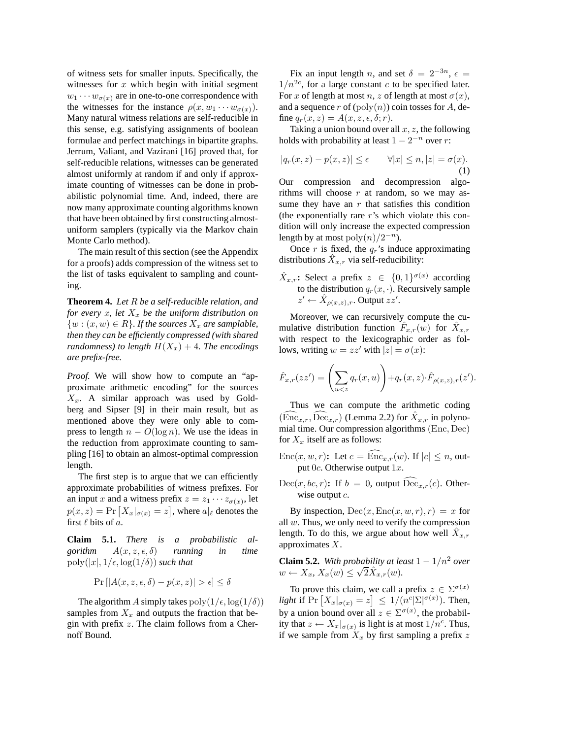of witness sets for smaller inputs. Specifically, the witnesses for  $x$  which begin with initial segment  $w_1 \cdots w_{\sigma(x)}$  are in one-to-one correspondence with the witnesses for the instance  $\rho(x, w_1 \cdots w_{\sigma(x)})$ . Many natural witness relations are self-reducible in this sense, e.g. satisfying assignments of boolean formulae and perfect matchings in bipartite graphs. Jerrum, Valiant, and Vazirani [16] proved that, for self-reducible relations, witnesses can be generated almost uniformly at random if and only if approximate counting of witnesses can be done in probabilistic polynomial time. And, indeed, there are now many approximate counting algorithms known that have been obtained by first constructing almostuniform samplers (typically via the Markov chain Monte Carlo method).

The main result of this section (see the Appendix for a proofs) adds compression of the witness set to the list of tasks equivalent to sampling and counting.

**Theorem 4.** *Let* R *be a self-reducible relation, and for every* x, let  $X_x$  be the uniform distribution on  $\{w : (x, w) \in R\}$ . If the sources  $X_x$  are samplable, *then they can be efficiently compressed (with shared randomness) to length*  $H(X_x) + 4$ *. The encodings are prefix-free.*

*Proof.* We will show how to compute an "approximate arithmetic encoding" for the sources  $X_x$ . A similar approach was used by Goldberg and Sipser [9] in their main result, but as mentioned above they were only able to compress to length  $n - O(\log n)$ . We use the ideas in the reduction from approximate counting to sampling [16] to obtain an almost-optimal compression length.

The first step is to argue that we can efficiently approximate probabilities of witness prefixes. For an input x and a witness prefix  $z = z_1 \cdots z_{\sigma(x)}$ , let  $p(x, z) = Pr\left[X_x|_{\sigma(x)} = z\right]$ , where  $a|_{\ell}$  denotes the first  $\ell$  bits of  $a$ .

**Claim 5.1.** *There is a probabilistic algorithm*  $A(x, z, \epsilon, \delta)$  *running in time*  $poly(|x|, 1/\epsilon, \log(1/\delta))$  *such that* 

$$
\Pr\left[\left|A(x,z,\epsilon,\delta)-p(x,z)\right|>\epsilon\right]\leq\delta
$$

The algorithm A simply takes  $poly(1/\epsilon, \log(1/\delta))$ samples from  $X_x$  and outputs the fraction that begin with prefix  $z$ . The claim follows from a Chernoff Bound.

Fix an input length n, and set  $\delta = 2^{-3n}$ ,  $\epsilon =$  $1/n^{2c}$ , for a large constant c to be specified later. For x of length at most n, z of length at most  $\sigma(x)$ , and a sequence r of  $(poly(n))$  coin tosses for A, define  $q_r(x, z) = A(x, z, \epsilon, \delta; r)$ .

Taking a union bound over all  $x, z$ , the following holds with probability at least  $1 - 2^{-n}$  over r:

$$
|q_r(x, z) - p(x, z)| \le \epsilon \qquad \forall |x| \le n, |z| = \sigma(x).
$$
\n(1)

Our compression and decompression algorithms will choose  $r$  at random, so we may assume they have an  $r$  that satisfies this condition (the exponentially rare  $r$ 's which violate this condition will only increase the expected compression length by at most  $poly(n)/2^{-n}$ ).

Once r is fixed, the  $q_r$ 's induce approximating distributions  $\hat{X}_{x,r}$  via self-reducibility:

 $\hat{X}_{x,r}$ : Select a prefix  $z \in \{0,1\}^{\sigma(x)}$  according to the distribution  $q_r(x, \cdot)$ . Recursively sample  $z' \leftarrow \hat{X}_{\rho(x,z),r}$ . Output  $zz'$ .

Moreover, we can recursively compute the cumulative distribution function  $\hat{F}_{x,r}(w)$  for  $\hat{X}_{x,r}$ with respect to the lexicographic order as follows, writing  $w = zz'$  with  $|z| = \sigma(x)$ :

$$
\hat{F}_{x,r}(zz') = \left(\sum_{u < z} q_r(x,u)\right) + q_r(x,z) \cdot \hat{F}_{\rho(x,z),r}(z').
$$

Thus we can compute the arithmetic coding  $(\widehat{\text{Enc}}_{x,r}, \widehat{\text{Dec}}_{x,r})$  (Lemma 2.2) for  $\hat{X}_{x,r}$  in polynomial time. Our compression algorithms (Enc, Dec) for  $X_x$  itself are as follows:

- $Enc(x, w, r)$ : Let  $c = \widehat{Enc}_{x,r}(w)$ . If  $|c| \leq n$ , output  $0c$ . Otherwise output  $1x$ .
- $Dec(x, bc, r)$ : If  $b = 0$ , output  $Dec_{x, r}(c)$ . Otherwise output  $c$ .

By inspection,  $Dec(x, Enc(x, w, r), r) = x$  for all  $w$ . Thus, we only need to verify the compression length. To do this, we argue about how well  $\hat{X}_{x,r}$ approximates  $X$ .

**Claim 5.2.** *With probability at least*  $1 - 1/n^2$  *over*  $w \leftarrow X_x, X_x(w) \leq \sqrt{2\hat{X}_{x,r}(w)}$ .

To prove this claim, we call a prefix  $z \in \sum^{\sigma(x)}$ *light* if  $Pr[X_x |_{\sigma(x)} = z] \leq 1/(n^c |\Sigma|^{\sigma(x)})$ . Then, by a union bound over all  $z \in \Sigma^{\sigma(x)}$ , the probability that  $z \leftarrow X_x|_{\sigma(x)}$  is light is at most  $1/n^c$ . Thus, if we sample from  $X_x$  by first sampling a prefix z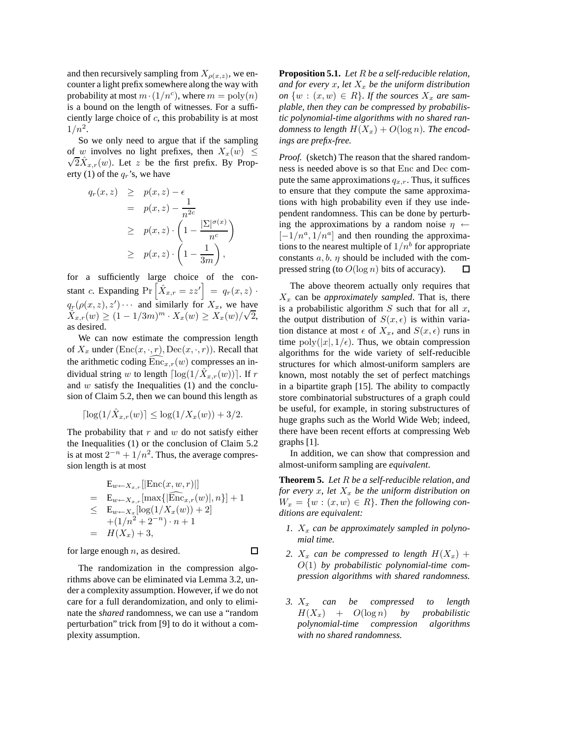and then recursively sampling from  $X_{\rho(x,z)}$ , we encounter a light prefix somewhere along the way with probability at most  $m \cdot (1/n^c)$ , where  $m = \text{poly}(n)$ is a bound on the length of witnesses. For a sufficiently large choice of c, this probability is at most  $1/n^2$ .

So we only need to argue that if the sampling of w involves no light prefixes, then  $X_x(w) \leq$  $\sqrt{2}\hat{X}_{x,r}(w)$ . Let z be the first prefix. By Property (1) of the  $q_r$ 's, we have

$$
q_r(x, z) \geq p(x, z) - \epsilon
$$
  
=  $p(x, z) - \frac{1}{n^{2c}}$   

$$
\geq p(x, z) \cdot \left(1 - \frac{|\Sigma|^{\sigma(x)}}{n^c}\right)
$$
  

$$
\geq p(x, z) \cdot \left(1 - \frac{1}{3m}\right),
$$

for a sufficiently large choice of the constant c. Expanding  $Pr\left[\hat{X}_{x,r} = zz'\right] = q_r(x,z)$ .  $q_r(\rho(x, z), z') \cdots$  and similarly for  $X_x$ , we have  $\hat{X}_{x,r}(w) \ge (1 - 1/3m)^m \cdot X_x(w) \ge X_x(w)/\sqrt{2},$ as desired.

We can now estimate the compression length of  $X_x$  under  $(\text{Enc}(x, \cdot, r), \text{Dec}(x, \cdot, r))$ . Recall that the arithmetic coding  $Enc_{x,r}(w)$  compresses an individual string w to length  $\lceil \log(1/\hat{X}_{x,r}(w)) \rceil$ . If r and  $w$  satisfy the Inequalities  $(1)$  and the conclusion of Claim 5.2, then we can bound this length as

$$
\lceil \log(1/\hat{X}_{x,r}(w)) \rceil \le \log(1/X_x(w)) + 3/2.
$$

The probability that  $r$  and  $w$  do not satisfy either the Inequalities (1) or the conclusion of Claim 5.2 is at most  $2^{-n} + 1/n^2$ . Thus, the average compression length is at most

$$
E_{w \leftarrow X_{x,r}}[|\text{Enc}(x, w, r)|]
$$
  
=  $E_{w \leftarrow X_{x,r}}[\max\{|\widehat{\text{Enc}}_{x,r}(w)|, n\}] + 1$   
 $\leq E_{w \leftarrow X_x}[\log(1/X_x(w)) + 2]$   
+  $(1/n^2 + 2^{-n}) \cdot n + 1$   
=  $H(X_x) + 3$ ,

 $\Box$ 

for large enough  $n$ , as desired.

The randomization in the compression algorithms above can be eliminated via Lemma 3.2, under a complexity assumption. However, if we do not care for a full derandomization, and only to eliminate the *shared* randomness, we can use a "random perturbation" trick from [9] to do it without a complexity assumption.

**Proposition 5.1.** *Let* R *be a self-reducible relation,* and for every x, let  $X_x$  be the uniform distribution *on*  $\{w : (x, w) \in R\}$ *. If the sources*  $X_x$  *are samplable, then they can be compressed by probabilistic polynomial-time algorithms with no shared randomness to length*  $H(X_x) + O(\log n)$ *. The encodings are prefix-free.*

*Proof.* (sketch) The reason that the shared randomness is needed above is so that Enc and Dec compute the same approximations  $q_{x,r}$ . Thus, it suffices to ensure that they compute the same approximations with high probability even if they use independent randomness. This can be done by perturbing the approximations by a random noise  $\eta \leftarrow$  $[-1/n^a, 1/n^a]$  and then rounding the approximations to the nearest multiple of  $1/n^b$  for appropriate constants  $a, b, \eta$  should be included with the compressed string (to  $O(\log n)$  bits of accuracy).  $\Box$ 

The above theorem actually only requires that  $X_x$  can be *approximately sampled*. That is, there is a probabilistic algorithm  $S$  such that for all  $x$ , the output distribution of  $S(x, \epsilon)$  is within variation distance at most  $\epsilon$  of  $X_x$ , and  $S(x, \epsilon)$  runs in time  $\text{poly}(|x|, 1/\epsilon)$ . Thus, we obtain compression algorithms for the wide variety of self-reducible structures for which almost-uniform samplers are known, most notably the set of perfect matchings in a bipartite graph [15]. The ability to compactly store combinatorial substructures of a graph could be useful, for example, in storing substructures of huge graphs such as the World Wide Web; indeed, there have been recent efforts at compressing Web graphs [1].

In addition, we can show that compression and almost-uniform sampling are *equivalent*.

**Theorem 5.** *Let* R *be a self-reducible relation, and for every*  $x$ *, let*  $X_x$  *be the uniform distribution on*  $W_x = \{w : (x, w) \in R\}$ . Then the following con*ditions are equivalent:*

- 1.  $X_x$  can be approximately sampled in polyno*mial time.*
- 2.  $X_x$  can be compressed to length  $H(X_x)$  + O(1) *by probabilistic polynomial-time compression algorithms with shared randomness.*
- *3.* X<sup>x</sup> *can be compressed to length*  $H(X_x) + O(\log n)$  *by probabilistic polynomial-time compression algorithms with no shared randomness.*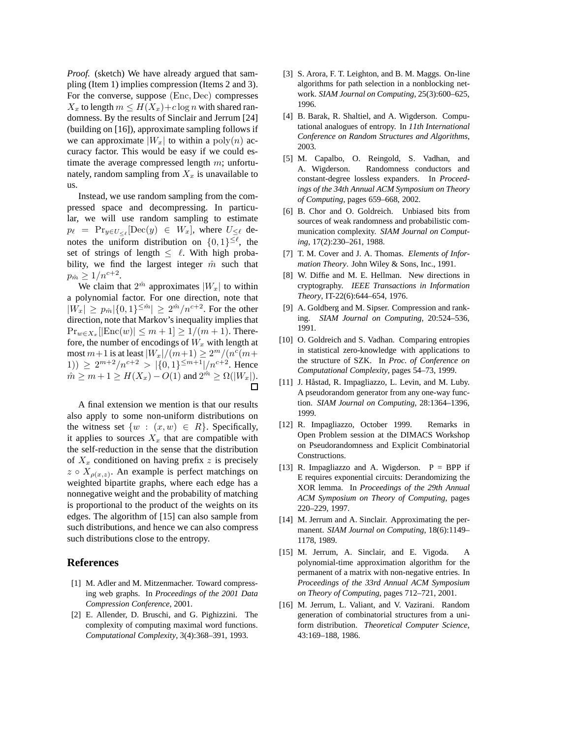*Proof.* (sketch) We have already argued that sampling (Item 1) implies compression (Items 2 and 3). For the converse, suppose (Enc, Dec) compresses  $X_x$  to length  $m \leq H(X_x)+c \log n$  with shared randomness. By the results of Sinclair and Jerrum [24] (building on [16]), approximate sampling follows if we can approximate  $|W_x|$  to within a poly $(n)$  accuracy factor. This would be easy if we could estimate the average compressed length  $m$ ; unfortunately, random sampling from  $X_x$  is unavailable to us.

Instead, we use random sampling from the compressed space and decompressing. In particular, we will use random sampling to estimate  $p_{\ell}$  =  $\Pr_{y \in U_{\leq \ell}}[\text{Dec}(y) \in W_x]$ , where  $U_{\leq \ell}$  denotes the uniform distribution on  $\{0,1\}^{\leq \ell}$ , the set of strings of length  $\langle \ell \rangle$ . With high probability, we find the largest integer  $\hat{m}$  such that  $p_{\hat{m}} \geq 1/n^{c+2}.$ 

We claim that  $2^{n}$  approximates  $|W_x|$  to within a polynomial factor. For one direction, note that  $|W_x| \ge p_{\hat{m}} |\{0,1\}^{\le \hat{m}}| \ge 2^{\hat{m}}/n^{c+2}$ . For the other direction, note that Markov's inequality implies that  $Pr_{w \in X_x} [|\text{Enc}(w)| \le m + 1] \ge 1/(m + 1)$ . Therefore, the number of encodings of  $W_x$  with length at most  $m+1$  is at least  $|W_x|/(m+1) \ge 2^m/(n^c(m+1))$ 1))  $\geq 2^{m+2}/n^{c+2} > |\{0,1\}^{\leq m+1}|/n^{c+2}$ . Hence  $\hat{m} \ge m + 1 \ge H(X_x) - O(1)$  and  $2^{\hat{m}} \ge \Omega(|W_x|)$ .

A final extension we mention is that our results also apply to some non-uniform distributions on the witness set  $\{w : (x, w) \in R\}$ . Specifically, it applies to sources  $X_x$  that are compatible with the self-reduction in the sense that the distribution of  $X_x$  conditioned on having prefix z is precisely  $z \circ X_{\rho(x,z)}$ . An example is perfect matchings on weighted bipartite graphs, where each edge has a nonnegative weight and the probability of matching is proportional to the product of the weights on its edges. The algorithm of [15] can also sample from such distributions, and hence we can also compress such distributions close to the entropy.

### **References**

- [1] M. Adler and M. Mitzenmacher. Toward compressing web graphs. In *Proceedings of the 2001 Data Compression Conference*, 2001.
- [2] E. Allender, D. Bruschi, and G. Pighizzini. The complexity of computing maximal word functions. *Computational Complexity*, 3(4):368–391, 1993.
- [3] S. Arora, F. T. Leighton, and B. M. Maggs. On-line algorithms for path selection in a nonblocking network. *SIAM Journal on Computing*, 25(3):600–625, 1996.
- [4] B. Barak, R. Shaltiel, and A. Wigderson. Computational analogues of entropy. In *11th International Conference on Random Structures and Algorithms*, 2003.
- [5] M. Capalbo, O. Reingold, S. Vadhan, and A. Wigderson. Randomness conductors and constant-degree lossless expanders. In *Proceedings of the 34th Annual ACM Symposium on Theory of Computing*, pages 659–668, 2002.
- [6] B. Chor and O. Goldreich. Unbiased bits from sources of weak randomness and probabilistic communication complexity. *SIAM Journal on Computing*, 17(2):230–261, 1988.
- [7] T. M. Cover and J. A. Thomas. *Elements of Information Theory*. John Wiley & Sons, Inc., 1991.
- [8] W. Diffie and M. E. Hellman. New directions in cryptography. *IEEE Transactions in Information Theory*, IT-22(6):644–654, 1976.
- [9] A. Goldberg and M. Sipser. Compression and ranking. *SIAM Journal on Computing*, 20:524–536, 1991.
- [10] O. Goldreich and S. Vadhan. Comparing entropies in statistical zero-knowledge with applications to the structure of SZK. In *Proc. of Conference on Computational Complexity*, pages 54–73, 1999.
- [11] J. Håstad, R. Impagliazzo, L. Levin, and M. Luby. A pseudorandom generator from any one-way function. *SIAM Journal on Computing*, 28:1364–1396, 1999.
- [12] R. Impagliazzo, October 1999. Remarks in Open Problem session at the DIMACS Workshop on Pseudorandomness and Explicit Combinatorial Constructions.
- [13] R. Impagliazzo and A. Wigderson.  $P = BPP$  if E requires exponential circuits: Derandomizing the XOR lemma. In *Proceedings of the 29th Annual ACM Symposium on Theory of Computing*, pages 220–229, 1997.
- [14] M. Jerrum and A. Sinclair. Approximating the permanent. *SIAM Journal on Computing*, 18(6):1149– 1178, 1989.
- [15] M. Jerrum, A. Sinclair, and E. Vigoda. A polynomial-time approximation algorithm for the permanent of a matrix with non-negative entries. In *Proceedings of the 33rd Annual ACM Symposium on Theory of Computing*, pages 712–721, 2001.
- [16] M. Jerrum, L. Valiant, and V. Vazirani. Random generation of combinatorial structures from a uniform distribution. *Theoretical Computer Science*, 43:169–188, 1986.